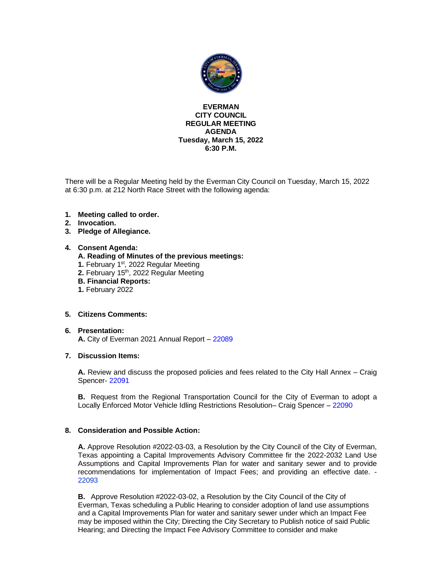

#### **EVERMAN CITY COUNCIL REGULAR MEETING AGENDA Tuesday, March 15, 2022 6:30 P.M.**

There will be a Regular Meeting held by the Everman City Council on Tuesday, March 15, 2022 at 6:30 p.m. at 212 North Race Street with the following agenda:

- **1. Meeting called to order.**
- **2. Invocation.**
- **3. Pledge of Allegiance.**

#### **4. Consent Agenda:**

#### **A. Reading of Minutes of the previous meetings:**

- **1.** February 1<sup>st</sup>, 2022 Regular Meeting
- 2. February 15<sup>th</sup>, 2022 Regular Meeting
- **B. Financial Reports:**
- **1.** February 2022

#### **5. Citizens Comments:**

#### **6. Presentation:**

**A.** City of Everman 2021 Annual Report – [22089](#page-8-0)

#### **7. Discussion Items:**

**A.** Review and discuss the proposed policies and fees related to the City Hall Annex – Craig Spencer- [22091](#page-9-0)

**B.** Request from the Regional Transportation Council for the City of Everman to adopt a Locally Enforced Motor Vehicle Idling Restrictions Resolution– Craig Spencer – [22090](#page-11-0)

#### **8. Consideration and Possible Action:**

**A.** Approve Resolution #2022-03-03, a Resolution by the City Council of the City of Everman, Texas appointing a Capital Improvements Advisory Committee fir the 2022-2032 Land Use Assumptions and Capital Improvements Plan for water and sanitary sewer and to provide recommendations for implementation of Impact Fees; and providing an effective date. - [22093](#page-12-0)

**B.** Approve Resolution #2022-03-02, a Resolution by the City Council of the City of Everman, Texas scheduling a Public Hearing to consider adoption of land use assumptions and a Capital Improvements Plan for water and sanitary sewer under which an Impact Fee may be imposed within the City; Directing the City Secretary to Publish notice of said Public Hearing; and Directing the Impact Fee Advisory Committee to consider and make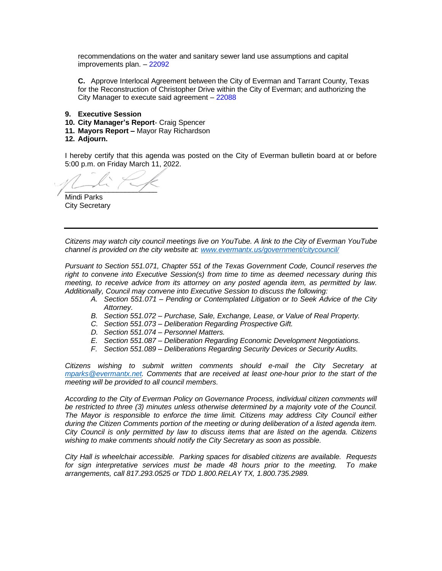recommendations on the water and sanitary sewer land use assumptions and capital improvements plan. – [22092](#page-13-0)

**C.** Approve Interlocal Agreement between the City of Everman and Tarrant County, Texas for the Reconstruction of Christopher Drive within the City of Everman; and authorizing the City Manager to execute said agreement – [22088](#page-15-0)

- **9. Executive Session**
- **10. City Manager's Report** Craig Spencer
- **11. Mayors Report –** Mayor Ray Richardson
- **12. Adjourn.**

I hereby certify that this agenda was posted on the City of Everman bulletin board at or before 5:00 p.m. on Friday March 11, 2022.

 $\sim$ 

Mindi Parks City Secretary

*Citizens may watch city council meetings live on YouTube. A link to the City of Everman YouTube channel is provided on the city website at: [www.evermantx.us/government/citycouncil/](http://www.evermantx.us/government/citycouncil/)*

*Pursuant to Section 551.071, Chapter 551 of the Texas Government Code, Council reserves the right to convene into Executive Session(s) from time to time as deemed necessary during this meeting, to receive advice from its attorney on any posted agenda item, as permitted by law. Additionally, Council may convene into Executive Session to discuss the following:*

- *A. Section 551.071 – Pending or Contemplated Litigation or to Seek Advice of the City Attorney.*
- *B. Section 551.072 – Purchase, Sale, Exchange, Lease, or Value of Real Property.*
- *C. Section 551.073 – Deliberation Regarding Prospective Gift.*
- *D. Section 551.074 – Personnel Matters.*
- *E. Section 551.087 – Deliberation Regarding Economic Development Negotiations.*
- *F. Section 551.089 – Deliberations Regarding Security Devices or Security Audits.*

*Citizens wishing to submit written comments should e-mail the City Secretary at [mparks@evermantx.net.](mailto:mparks@evermantx.net) Comments that are received at least one-hour prior to the start of the meeting will be provided to all council members.* 

*According to the City of Everman Policy on Governance Process, individual citizen comments will be restricted to three (3) minutes unless otherwise determined by a majority vote of the Council. The Mayor is responsible to enforce the time limit. Citizens may address City Council either during the Citizen Comments portion of the meeting or during deliberation of a listed agenda item. City Council is only permitted by law to discuss items that are listed on the agenda. Citizens wishing to make comments should notify the City Secretary as soon as possible.* 

*City Hall is wheelchair accessible. Parking spaces for disabled citizens are available. Requests for sign interpretative services must be made 48 hours prior to the meeting. To make arrangements, call 817.293.0525 or TDD 1.800.RELAY TX, 1.800.735.2989.*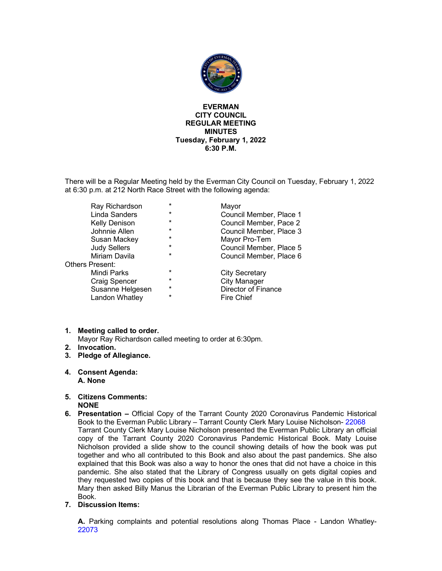

#### **EVERMAN CITY COUNCIL REGULAR MEETING MINUTES Tuesday, February 1, 2022 6:30 P.M.**

There will be a Regular Meeting held by the Everman City Council on Tuesday, February 1, 2022 at 6:30 p.m. at 212 North Race Street with the following agenda:

|                 | Ray Richardson       | $\star$  | Mayor                   |
|-----------------|----------------------|----------|-------------------------|
|                 | Linda Sanders        | $\star$  | Council Member, Place 1 |
|                 | <b>Kelly Denison</b> | $\star$  | Council Member, Pace 2  |
|                 | Johnnie Allen        | $\star$  | Council Member, Place 3 |
|                 | Susan Mackey         | $\star$  | Mayor Pro-Tem           |
|                 | <b>Judy Sellers</b>  | $\star$  | Council Member, Place 5 |
|                 | Miriam Davila        | $\star$  | Council Member, Place 6 |
| Others Present: |                      |          |                         |
|                 | Mindi Parks          | $\ast$   | <b>City Secretary</b>   |
|                 | <b>Craig Spencer</b> | $\star$  | <b>City Manager</b>     |
|                 | Susanne Helgesen     | $\star$  | Director of Finance     |
|                 | Landon Whatley       | $^\star$ | <b>Fire Chief</b>       |

#### **1. Meeting called to order.**

Mayor Ray Richardson called meeting to order at 6:30pm.

- **2. Invocation.**
- **3. Pledge of Allegiance.**
- **4. Consent Agenda: A. None**
- **5. Citizens Comments: NONE**
- **6. Presentation –** Official Copy of the Tarrant County 2020 Coronavirus Pandemic Historical Book to the Everman Public Library – Tarrant County Clerk Mary Louise Nicholson- 22068 Tarrant County Clerk Mary Louise Nicholson presented the Everman Public Library an official copy of the Tarrant County 2020 Coronavirus Pandemic Historical Book. Maty Louise Nicholson provided a slide show to the council showing details of how the book was put together and who all contributed to this Book and also about the past pandemics. She also explained that this Book was also a way to honor the ones that did not have a choice in this pandemic. She also stated that the Library of Congress usually on gets digital copies and they requested two copies of this book and that is because they see the value in this book. Mary then asked Billy Manus the Librarian of the Everman Public Library to present him the Book.
- **7. Discussion Items:**

**A.** Parking complaints and potential resolutions along Thomas Place - Landon Whatley-22073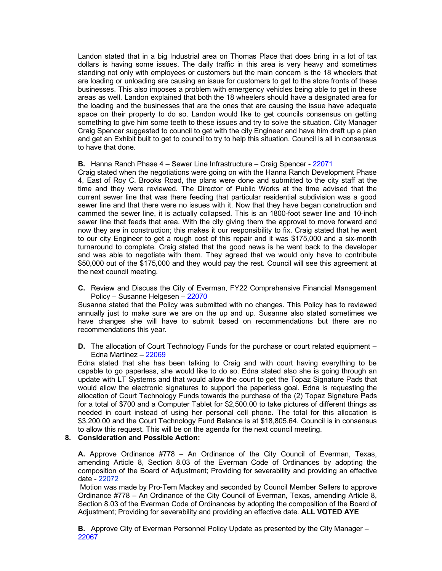Landon stated that in a big Industrial area on Thomas Place that does bring in a lot of tax dollars is having some issues. The daily traffic in this area is very heavy and sometimes standing not only with employees or customers but the main concern is the 18 wheelers that are loading or unloading are causing an issue for customers to get to the store fronts of these businesses. This also imposes a problem with emergency vehicles being able to get in these areas as well. Landon explained that both the 18 wheelers should have a designated area for the loading and the businesses that are the ones that are causing the issue have adequate space on their property to do so. Landon would like to get councils consensus on getting something to give him some teeth to these issues and try to solve the situation. City Manager Craig Spencer suggested to council to get with the city Engineer and have him draft up a plan and get an Exhibit built to get to council to try to help this situation. Council is all in consensus to have that done.

#### **B.** Hanna Ranch Phase 4 – Sewer Line Infrastructure – Craig Spencer - 22071

Craig stated when the negotiations were going on with the Hanna Ranch Development Phase 4, East of Roy C. Brooks Road, the plans were done and submitted to the city staff at the time and they were reviewed. The Director of Public Works at the time advised that the current sewer line that was there feeding that particular residential subdivision was a good sewer line and that there were no issues with it. Now that they have began construction and cammed the sewer line, it is actually collapsed. This is an 1800-foot sewer line and 10-inch sewer line that feeds that area. With the city giving them the approval to move forward and now they are in construction; this makes it our responsibility to fix. Craig stated that he went to our city Engineer to get a rough cost of this repair and it was \$175,000 and a six-month turnaround to complete. Craig stated that the good news is he went back to the developer and was able to negotiate with them. They agreed that we would only have to contribute \$50,000 out of the \$175,000 and they would pay the rest. Council will see this agreement at the next council meeting.

**C.** Review and Discuss the City of Everman, FY22 Comprehensive Financial Management Policy – Susanne Helgesen – 22070

Susanne stated that the Policy was submitted with no changes. This Policy has to reviewed annually just to make sure we are on the up and up. Susanne also stated sometimes we have changes she will have to submit based on recommendations but there are no recommendations this year.

**D.** The allocation of Court Technology Funds for the purchase or court related equipment – Edna Martinez – 22069

Edna stated that she has been talking to Craig and with court having everything to be capable to go paperless, she would like to do so. Edna stated also she is going through an update with LT Systems and that would allow the court to get the Topaz Signature Pads that would allow the electronic signatures to support the paperless goal. Edna is requesting the allocation of Court Technology Funds towards the purchase of the (2) Topaz Signature Pads for a total of \$700 and a Computer Tablet for \$2,500.00 to take pictures of different things as needed in court instead of using her personal cell phone. The total for this allocation is \$3,200.00 and the Court Technology Fund Balance is at \$18,805.64. Council is in consensus to allow this request. This will be on the agenda for the next council meeting.

#### **8. Consideration and Possible Action:**

**A.** Approve Ordinance #778 – An Ordinance of the City Council of Everman, Texas, amending Article 8, Section 8.03 of the Everman Code of Ordinances by adopting the composition of the Board of Adjustment; Providing for severability and providing an effective date - 22072

Motion was made by Pro-Tem Mackey and seconded by Council Member Sellers to approve Ordinance #778 – An Ordinance of the City Council of Everman, Texas, amending Article 8, Section 8.03 of the Everman Code of Ordinances by adopting the composition of the Board of Adjustment; Providing for severability and providing an effective date. **ALL VOTED AYE**

**B.** Approve City of Everman Personnel Policy Update as presented by the City Manager – 22067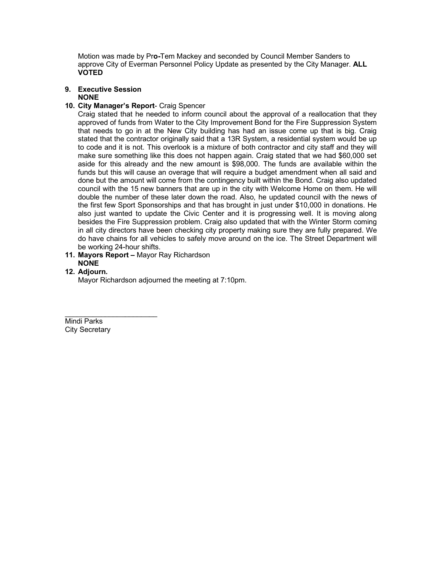Motion was made by Pr**o-**Tem Mackey and seconded by Council Member Sanders to approve City of Everman Personnel Policy Update as presented by the City Manager. **ALL VOTED**

**9. Executive Session NONE**

#### **10. City Manager's Report**- Craig Spencer

Craig stated that he needed to inform council about the approval of a reallocation that they approved of funds from Water to the City Improvement Bond for the Fire Suppression System that needs to go in at the New City building has had an issue come up that is big. Craig stated that the contractor originally said that a 13R System, a residential system would be up to code and it is not. This overlook is a mixture of both contractor and city staff and they will make sure something like this does not happen again. Craig stated that we had \$60,000 set aside for this already and the new amount is \$98,000. The funds are available within the funds but this will cause an overage that will require a budget amendment when all said and done but the amount will come from the contingency built within the Bond. Craig also updated council with the 15 new banners that are up in the city with Welcome Home on them. He will double the number of these later down the road. Also, he updated council with the news of the first few Sport Sponsorships and that has brought in just under \$10,000 in donations. He also just wanted to update the Civic Center and it is progressing well. It is moving along besides the Fire Suppression problem. Craig also updated that with the Winter Storm coming in all city directors have been checking city property making sure they are fully prepared. We do have chains for all vehicles to safely move around on the ice. The Street Department will be working 24-hour shifts.

**11. Mayors Report –** Mayor Ray Richardson **NONE**

#### **12. Adjourn.**

Mayor Richardson adjourned the meeting at 7:10pm.

\_\_\_\_\_\_\_\_\_\_\_\_\_\_\_\_\_\_\_\_\_\_\_ Mindi Parks City Secretary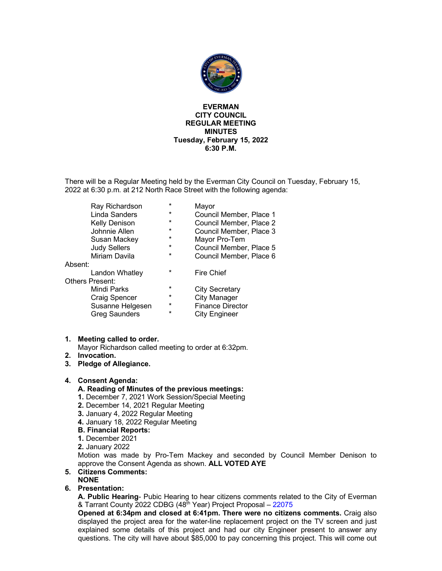

#### **EVERMAN CITY COUNCIL REGULAR MEETING MINUTES Tuesday, February 15, 2022 6:30 P.M.**

There will be a Regular Meeting held by the Everman City Council on Tuesday, February 15, 2022 at 6:30 p.m. at 212 North Race Street with the following agenda:

|         | Ray Richardson         | $\star$ | Mayor                   |
|---------|------------------------|---------|-------------------------|
|         | Linda Sanders          | $\ast$  | Council Member, Place 1 |
|         | Kelly Denison          | *       | Council Member, Place 2 |
|         | Johnnie Allen          | $\ast$  | Council Member, Place 3 |
|         | Susan Mackey           | *       | Mayor Pro-Tem           |
|         | <b>Judy Sellers</b>    | *       | Council Member, Place 5 |
|         | Miriam Davila          | $\star$ | Council Member, Place 6 |
| Absent: |                        |         |                         |
|         | Landon Whatley         | $\ast$  | <b>Fire Chief</b>       |
|         | <b>Others Present:</b> |         |                         |
|         | Mindi Parks            | $\ast$  | City Secretary          |
|         | Craig Spencer          | $\ast$  | <b>City Manager</b>     |
|         | Susanne Helgesen       | *       | <b>Finance Director</b> |
|         | <b>Greg Saunders</b>   | $\star$ | <b>City Engineer</b>    |
|         |                        |         |                         |

#### **1. Meeting called to order.**

Mayor Richardson called meeting to order at 6:32pm.

- **2. Invocation.**
- **3. Pledge of Allegiance.**

#### **4. Consent Agenda:**

- **A. Reading of Minutes of the previous meetings:**
- **1.** December 7, 2021 Work Session/Special Meeting
- **2.** December 14, 2021 Regular Meeting
- **3.** January 4, 2022 Regular Meeting
- **4.** January 18, 2022 Regular Meeting
- **B. Financial Reports:**
- **1.** December 2021
- **2.** January 2022

Motion was made by Pro-Tem Mackey and seconded by Council Member Denison to approve the Consent Agenda as shown. **ALL VOTED AYE**

#### **5. Citizens Comments: NONE**

**6. Presentation:**

**A. Public Hearing**- Pubic Hearing to hear citizens comments related to the City of Everman & Tarrant County 2022 CDBG (48<sup>th</sup> Year) Project Proposal - 22075

**Opened at 6:34pm and closed at 6:41pm. There were no citizens comments.** Craig also displayed the project area for the water-line replacement project on the TV screen and just explained some details of this project and had our city Engineer present to answer any questions. The city will have about \$85,000 to pay concerning this project. This will come out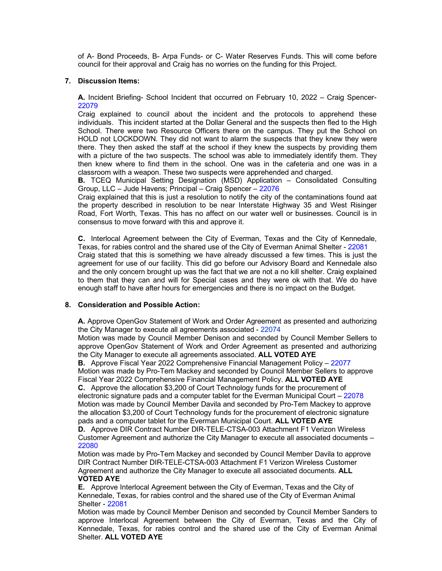of A- Bond Proceeds, B- Arpa Funds- or C- Water Reserves Funds. This will come before council for their approval and Craig has no worries on the funding for this Project.

#### **7. Discussion Items:**

**A.** Incident Briefing- School Incident that occurred on February 10, 2022 – Craig Spencer-22079

Craig explained to council about the incident and the protocols to apprehend these individuals. This incident started at the Dollar General and the suspects then fled to the High School. There were two Resource Officers there on the campus. They put the School on HOLD not LOCKDOWN. They did not want to alarm the suspects that they knew they were there. They then asked the staff at the school if they knew the suspects by providing them with a picture of the two suspects. The school was able to immediately identify them. They then knew where to find them in the school. One was in the cafeteria and one was in a classroom with a weapon. These two suspects were apprehended and charged.

**B.** TCEQ Municipal Setting Designation (MSD) Application – Consolidated Consulting Group, LLC – Jude Havens; Principal – Craig Spencer – 22076

Craig explained that this is just a resolution to notify the city of the contaminations found aat the property described in resolution to be near Interstate Highway 35 and West Risinger Road, Fort Worth, Texas. This has no affect on our water well or businesses. Council is in consensus to move forward with this and approve it.

**C.** Interlocal Agreement between the City of Everman, Texas and the City of Kennedale, Texas, for rabies control and the shared use of the City of Everman Animal Shelter - 22081 Craig stated that this is something we have already discussed a few times. This is just the agreement for use of our facility. This did go before our Advisory Board and Kennedale also and the only concern brought up was the fact that we are not a no kill shelter. Craig explained to them that they can and will for Special cases and they were ok with that. We do have enough staff to have after hours for emergencies and there is no impact on the Budget.

#### **8. Consideration and Possible Action:**

**A.** Approve OpenGov Statement of Work and Order Agreement as presented and authorizing the City Manager to execute all agreements associated - 22074

Motion was made by Council Member Denison and seconded by Council Member Sellers to approve OpenGov Statement of Work and Order Agreement as presented and authorizing the City Manager to execute all agreements associated. **ALL VOTED AYE**

**B.** Approve Fiscal Year 2022 Comprehensive Financial Management Policy – 22077 Motion was made by Pro-Tem Mackey and seconded by Council Member Sellers to approve Fiscal Year 2022 Comprehensive Financial Management Policy. **ALL VOTED AYE**

**C.** Approve the allocation \$3,200 of Court Technology funds for the procurement of electronic signature pads and a computer tablet for the Everman Municipal Court – 22078 Motion was made by Council Member Davila and seconded by Pro-Tem Mackey to approve the allocation \$3,200 of Court Technology funds for the procurement of electronic signature pads and a computer tablet for the Everman Municipal Court. **ALL VOTED AYE**

**D.** Approve DIR Contract Number DIR-TELE-CTSA-003 Attachment F1 Verizon Wireless Customer Agreement and authorize the City Manager to execute all associated documents – 22080

Motion was made by Pro-Tem Mackey and seconded by Council Member Davila to approve DIR Contract Number DIR-TELE-CTSA-003 Attachment F1 Verizon Wireless Customer Agreement and authorize the City Manager to execute all associated documents. **ALL VOTED AYE**

**E.** Approve Interlocal Agreement between the City of Everman, Texas and the City of Kennedale, Texas, for rabies control and the shared use of the City of Everman Animal Shelter - 22081

Motion was made by Council Member Denison and seconded by Council Member Sanders to approve Interlocal Agreement between the City of Everman, Texas and the City of Kennedale, Texas, for rabies control and the shared use of the City of Everman Animal Shelter. **ALL VOTED AYE**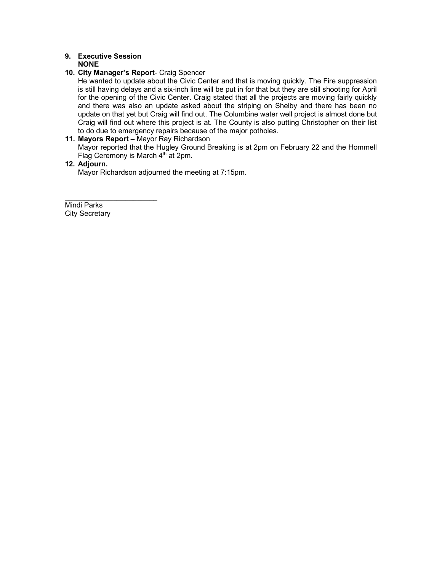#### **9. Executive Session NONE**

#### **10. City Manager's Report**- Craig Spencer

He wanted to update about the Civic Center and that is moving quickly. The Fire suppression is still having delays and a six-inch line will be put in for that but they are still shooting for April for the opening of the Civic Center. Craig stated that all the projects are moving fairly quickly and there was also an update asked about the striping on Shelby and there has been no update on that yet but Craig will find out. The Columbine water well project is almost done but Craig will find out where this project is at. The County is also putting Christopher on their list to do due to emergency repairs because of the major potholes.

#### **11. Mayors Report –** Mayor Ray Richardson

Mayor reported that the Hugley Ground Breaking is at 2pm on February 22 and the Hommell Flag Ceremony is March 4th at 2pm.

#### **12. Adjourn.**

Mayor Richardson adjourned the meeting at 7:15pm.

\_\_\_\_\_\_\_\_\_\_\_\_\_\_\_\_\_\_\_\_\_\_\_ Mindi Parks City Secretary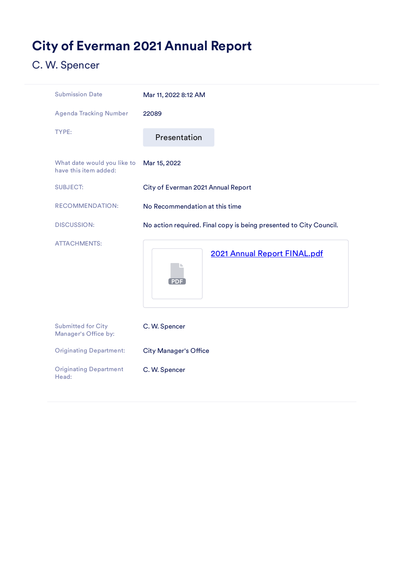# <span id="page-8-0"></span>City of Everman 2021 Annual Report

| <b>Submission Date</b>                               | Mar 11, 2022 8:12 AM                                               |  |
|------------------------------------------------------|--------------------------------------------------------------------|--|
| <b>Agenda Tracking Number</b>                        | 22089                                                              |  |
| TYPE:                                                | Presentation                                                       |  |
| What date would you like to<br>have this item added: | Mar 15, 2022                                                       |  |
| <b>SUBJECT:</b>                                      | City of Everman 2021 Annual Report                                 |  |
| <b>RECOMMENDATION:</b>                               | No Recommendation at this time                                     |  |
| <b>DISCUSSION:</b>                                   | No action required. Final copy is being presented to City Council. |  |
| <b>ATTACHMENTS:</b>                                  | 2021 Annual Report FINAL.pdf<br><b>PDF</b>                         |  |
| <b>Submitted for City</b><br>Manager's Office by:    | C. W. Spencer                                                      |  |
| <b>Originating Department:</b>                       | <b>City Manager's Office</b>                                       |  |
| <b>Originating Department</b><br>Head:               | C. W. Spencer                                                      |  |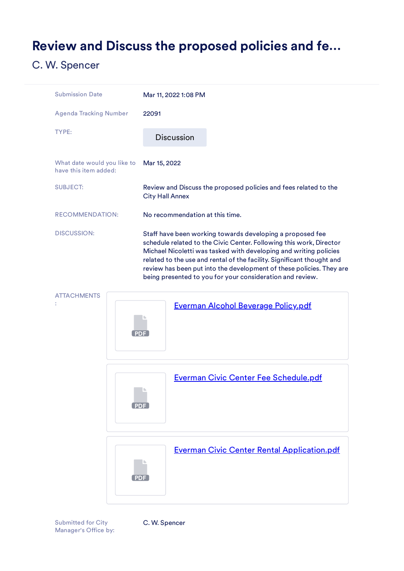## <span id="page-9-0"></span>Review and Discuss the proposed policies and fe…

## C. W. Spencer

:







Submitted for City Manager's Office by: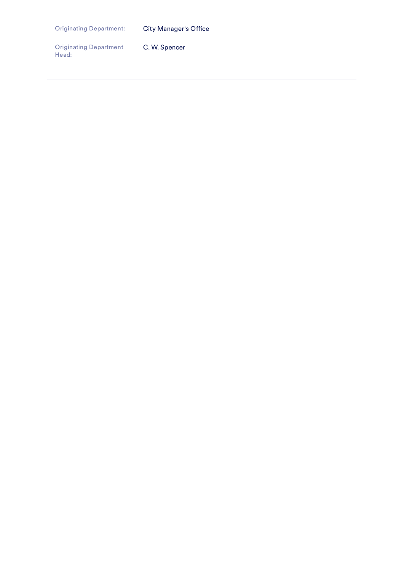Originating Department: City Manager's Office

Originating Department Head: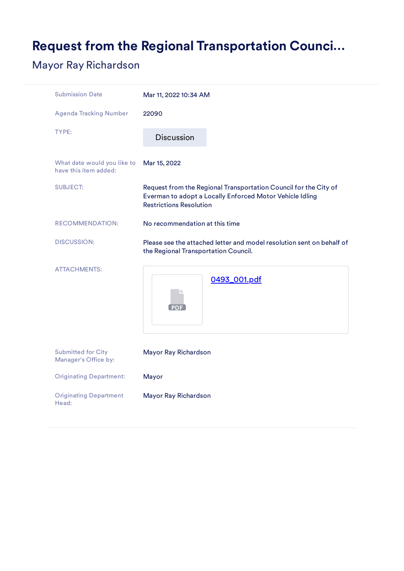# <span id="page-11-0"></span>Request from the Regional Transportation Counci…

## Mayor Ray Richardson

| <b>Submission Date</b>                               | Mar 11, 2022 10:34 AM                                                                                                                                          |  |
|------------------------------------------------------|----------------------------------------------------------------------------------------------------------------------------------------------------------------|--|
| <b>Agenda Tracking Number</b>                        | 22090                                                                                                                                                          |  |
| <b>TYPE:</b>                                         | <b>Discussion</b>                                                                                                                                              |  |
| What date would you like to<br>have this item added: | Mar 15, 2022                                                                                                                                                   |  |
| <b>SUBJECT:</b>                                      | Request from the Regional Transportation Council for the City of<br>Everman to adopt a Locally Enforced Motor Vehicle Idling<br><b>Restrictions Resolution</b> |  |
| <b>RECOMMENDATION:</b>                               | No recommendation at this time                                                                                                                                 |  |
| <b>DISCUSSION:</b>                                   | Please see the attached letter and model resolution sent on behalf of<br>the Regional Transportation Council.                                                  |  |
| <b>ATTACHMENTS:</b>                                  | 0493_001.pdf<br><b>PDF</b>                                                                                                                                     |  |
| <b>Submitted for City</b><br>Manager's Office by:    | Mayor Ray Richardson                                                                                                                                           |  |
| <b>Originating Department:</b>                       | Mayor                                                                                                                                                          |  |
| <b>Originating Department</b><br>Head:               | Mayor Ray Richardson                                                                                                                                           |  |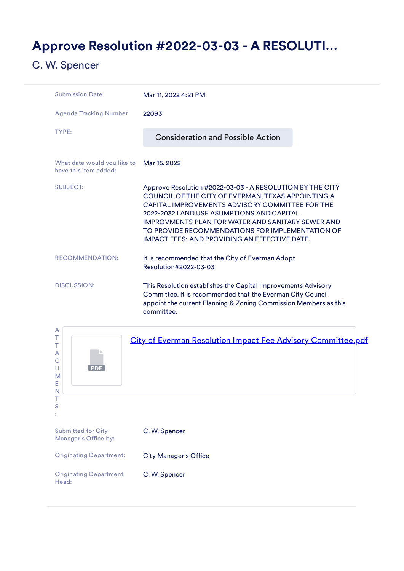## <span id="page-12-0"></span>Approve Resolution #2022-03-03 - A RESOLUTI…

| <b>Submission Date</b>                               | Mar 11, 2022 4:21 PM                                                                                                                                                                                                                                                                                                                                                             |
|------------------------------------------------------|----------------------------------------------------------------------------------------------------------------------------------------------------------------------------------------------------------------------------------------------------------------------------------------------------------------------------------------------------------------------------------|
| <b>Agenda Tracking Number</b>                        | 22093                                                                                                                                                                                                                                                                                                                                                                            |
| TYPE:                                                | <b>Consideration and Possible Action</b>                                                                                                                                                                                                                                                                                                                                         |
| What date would you like to<br>have this item added: | Mar 15, 2022                                                                                                                                                                                                                                                                                                                                                                     |
| <b>SUBJECT:</b>                                      | Approve Resolution #2022-03-03 - A RESOLUTION BY THE CITY<br>COUNCIL OF THE CITY OF EVERMAN, TEXAS APPOINTING A<br>CAPITAL IMPROVEMENTS ADVISORY COMMITTEE FOR THE<br>2022-2032 LAND USE ASUMPTIONS AND CAPITAL<br><b>IMPROVMENTS PLAN FOR WATER AND SANITARY SEWER AND</b><br>TO PROVIDE RECOMMENDATIONS FOR IMPLEMENTATION OF<br>IMPACT FEES; AND PROVIDING AN EFFECTIVE DATE. |
| <b>RECOMMENDATION:</b>                               | It is recommended that the City of Everman Adopt<br>Resolution#2022-03-03                                                                                                                                                                                                                                                                                                        |
| <b>DISCUSSION:</b>                                   | This Resolution establishes the Capital Improvements Advisory<br>Committee. It is recommended that the Everman City Council<br>appoint the current Planning & Zoning Commission Members as this<br>committee.                                                                                                                                                                    |

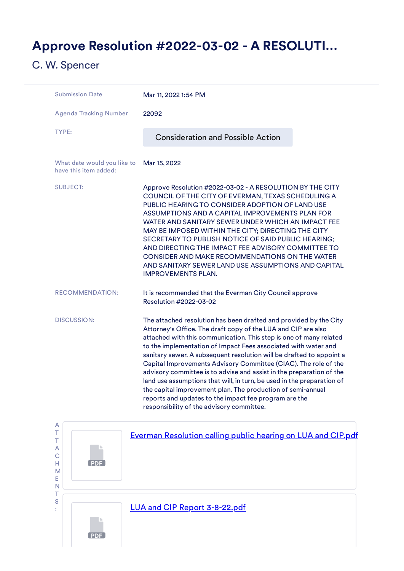## <span id="page-13-0"></span>Approve Resolution #2022-03-02 - A RESOLUTI…

| <b>Submission Date</b>                               | Mar 11, 2022 1:54 PM                                                                                                                                                                                                                                                                                                                                                                                                                                                                                                                                                                                                                                                                                                                         |  |  |
|------------------------------------------------------|----------------------------------------------------------------------------------------------------------------------------------------------------------------------------------------------------------------------------------------------------------------------------------------------------------------------------------------------------------------------------------------------------------------------------------------------------------------------------------------------------------------------------------------------------------------------------------------------------------------------------------------------------------------------------------------------------------------------------------------------|--|--|
| <b>Agenda Tracking Number</b>                        | 22092                                                                                                                                                                                                                                                                                                                                                                                                                                                                                                                                                                                                                                                                                                                                        |  |  |
| TYPE:                                                | <b>Consideration and Possible Action</b>                                                                                                                                                                                                                                                                                                                                                                                                                                                                                                                                                                                                                                                                                                     |  |  |
| What date would you like to<br>have this item added: | Mar 15, 2022                                                                                                                                                                                                                                                                                                                                                                                                                                                                                                                                                                                                                                                                                                                                 |  |  |
| <b>SUBJECT:</b>                                      | Approve Resolution #2022-03-02 - A RESOLUTION BY THE CITY<br>COUNCIL OF THE CITY OF EVERMAN, TEXAS SCHEDULING A<br>PUBLIC HEARING TO CONSIDER ADOPTION OF LAND USE<br>ASSUMPTIONS AND A CAPITAL IMPROVEMENTS PLAN FOR<br>WATER AND SANITARY SEWER UNDER WHICH AN IMPACT FEE<br>MAY BE IMPOSED WITHIN THE CITY; DIRECTING THE CITY<br>SECRETARY TO PUBLISH NOTICE OF SAID PUBLIC HEARING;<br>AND DIRECTING THE IMPACT FEE ADVISORY COMMITTEE TO<br>CONSIDER AND MAKE RECOMMENDATIONS ON THE WATER<br>AND SANITARY SEWER LAND USE ASSUMPTIONS AND CAPITAL<br><b>IMPROVEMENTS PLAN.</b>                                                                                                                                                         |  |  |
| <b>RECOMMENDATION:</b>                               | It is recommended that the Everman City Council approve<br>Resolution #2022-03-02                                                                                                                                                                                                                                                                                                                                                                                                                                                                                                                                                                                                                                                            |  |  |
| <b>DISCUSSION:</b>                                   | The attached resolution has been drafted and provided by the City<br>Attorney's Office. The draft copy of the LUA and CIP are also<br>attached with this communication. This step is one of many related<br>to the implementation of Impact Fees associated with water and<br>sanitary sewer. A subsequent resolution will be drafted to appoint a<br>Capital Improvements Advisory Committee (CIAC). The role of the<br>advisory committee is to advise and assist in the preparation of the<br>land use assumptions that will, in turn, be used in the preparation of<br>the capital improvement plan. The production of semi-annual<br>reports and updates to the impact fee program are the<br>responsibility of the advisory committee. |  |  |

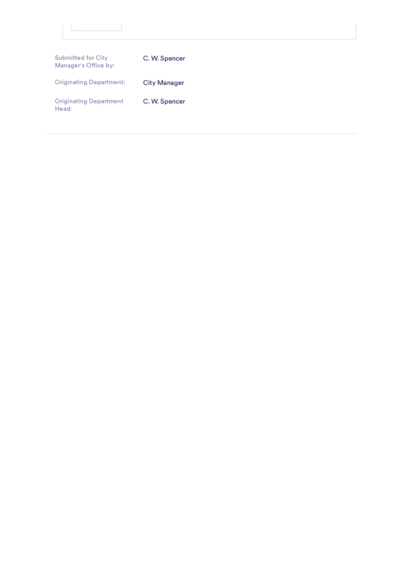| <b>Submitted for City</b><br>Manager's Office by: | C. W. Spencer       |  |  |
|---------------------------------------------------|---------------------|--|--|
| <b>Originating Department:</b>                    | <b>City Manager</b> |  |  |
| <b>Originating Department</b><br>Head:            | C. W. Spencer       |  |  |